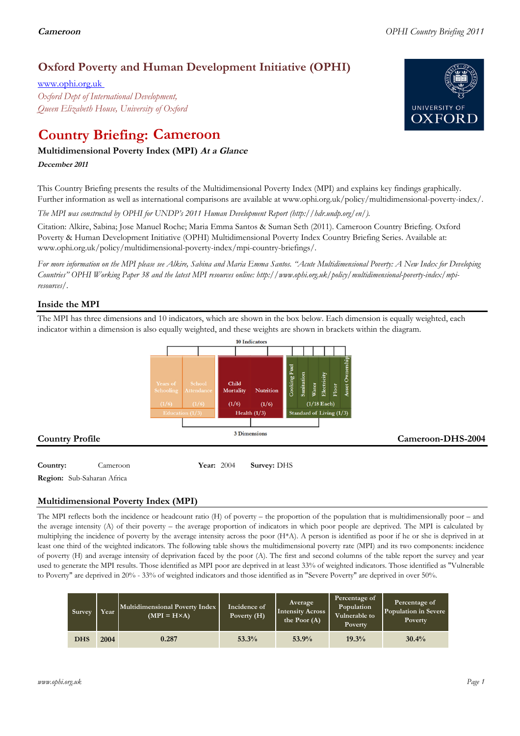## **Oxford Poverty and Human Development Initiative (OPHI)**

www.ophi.org.uk *Oxford Dept of International Development, Queen Elizabeth House, University of Oxford*

# **Country Briefing: Cameroon**

### **Multidimensional Poverty Index (MPI) At <sup>a</sup> Glance**

**December <sup>2011</sup>**

This Country Briefing presents the results of the Multidimensional Poverty Index (MPI) and explains key findings graphically. Further information as well as international comparisons are available at www.ophi.org.uk/policy/multidimensional-poverty-index/.

*The MPI was constructed by OPHI for UNDP's 2011 Human Development Report (http://hdr.undp.org/en/).*

Citation: Alkire, Sabina; Jose Manuel Roche; Maria Emma Santos & Suman Seth (2011). Cameroon Country Briefing. Oxford Poverty & Human Development Initiative (OPHI) Multidimensional Poverty Index Country Briefing Series. Available at: www.ophi.org.uk/policy/multidimensional-poverty-index/mpi-country-briefings/.

*For more information on the MPI please see Alkire, Sabina and Maria Emma Santos. "Acute Multidimensional Poverty: A New Index for Developing Countries" OPHI Working Paper 38 and the latest MPI resources online: http://www.ophi.org.uk/policy/multidimensional-poverty-index/mpiresources/.*

### **Inside the MPI**

The MPI has three dimensions and 10 indicators, which are shown in the box below. Each dimension is equally weighted, each indicator within a dimension is also equally weighted, and these weights are shown in brackets within the diagram.



**Country:**  $\qquad \qquad$  Cameroon **17 Pear:** 2004 **Survey:** DHS **Region:** Sub-Saharan Africa

## **Multidimensional Poverty Index (MPI)**

The MPI reflects both the incidence or headcount ratio (H) of poverty – the proportion of the population that is multidimensionally poor – and the average intensity (A) of their poverty – the average proportion of indicators in which poor people are deprived. The MPI is calculated by multiplying the incidence of poverty by the average intensity across the poor (H\*A). A person is identified as poor if he or she is deprived in at least one third of the weighted indicators. The following table shows the multidimensional poverty rate (MPI) and its two components: incidence of poverty (H) and average intensity of deprivation faced by the poor (A). The first and second columns of the table report the survey and year used to generate the MPI results. Those identified as MPI poor are deprived in at least 33% of weighted indicators. Those identified as "Vulnerable to Poverty" are deprived in 20% - 33% of weighted indicators and those identified as in "Severe Poverty" are deprived in over 50%.

| Survey     | Year | Multidimensional Poverty Index<br>$(MPI = H \times A)$ | Incidence of<br>Poverty $(H)$ | Average<br>Intensity Across<br>the Poor $(A)$ | Percentage of<br>Population<br>Vulnerable to<br>Poverty | Percentage of<br>Population in Severe<br>Poverty |
|------------|------|--------------------------------------------------------|-------------------------------|-----------------------------------------------|---------------------------------------------------------|--------------------------------------------------|
| <b>DHS</b> | 2004 | 0.287                                                  | 53.3%                         | 53.9%                                         | 19.3%                                                   | 30.4%                                            |

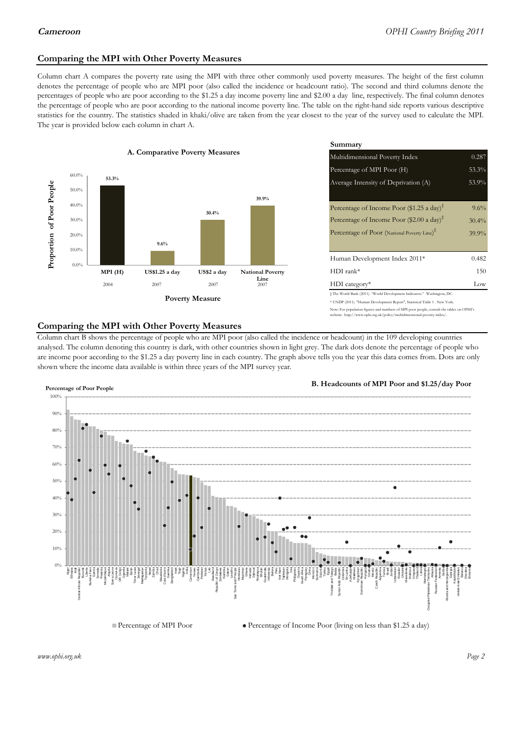#### **Comparing the MPI with Other Poverty Measures**

Column chart A compares the poverty rate using the MPI with three other commonly used poverty measures. The height of the first column denotes the percentage of people who are MPI poor (also called the incidence or headcount ratio). The second and third columns denote the percentages of people who are poor according to the \$1.25 a day income poverty line and \$2.00 a day line, respectively. The final column denotes the percentage of people who are poor according to the national income poverty line. The table on the right-hand side reports various descriptive statistics for the country. The statistics shaded in khaki/olive are taken from the year closest to the year of the survey used to calculate the MPI. The year is provided below each column in chart A.



|                |                         | Summary                                                                      |          |  |  |
|----------------|-------------------------|------------------------------------------------------------------------------|----------|--|--|
| erty Measures  |                         | Multidimensional Poverty Index<br>0.287                                      |          |  |  |
|                |                         | Percentage of MPI Poor (H)                                                   | 53.3%    |  |  |
|                |                         | Average Intensity of Deprivation (A)                                         | 53.9%    |  |  |
|                | 39.9%                   |                                                                              |          |  |  |
| 30.4%          |                         | Percentage of Income Poor (\$1.25 a day) <sup><math>\ddagger</math></sup>    | $9.6\%$  |  |  |
|                |                         | Percentage of Income Poor (\$2.00 a day) <sup><math>\bar{x}</math></sup>     | $30.4\%$ |  |  |
|                |                         | Percentage of Poor (National Poverty Line) <sup>#</sup>                      | $39.9\%$ |  |  |
|                |                         | Human Development Index 2011*                                                | 0.482    |  |  |
| US\$2 a day    | <b>National Poverty</b> | $HDI$ rank*                                                                  | 150      |  |  |
| 2007           | Line<br>2007            | $HDI category*$                                                              | Low      |  |  |
| <b>Aeasure</b> |                         | $\pm$ The World Bank (2011). "World Development Indicators." Washington, DC. |          |  |  |
|                |                         | * UNDP (2011). "Human Development Report", Statistical Table 1. New York.    |          |  |  |

te: For population figures and numbers of MPI poor people, consult the tables on OPHI's te: http://www.ophi.org.uk/policy/multidimensional-poverty-index/

#### **Comparing the MPI with Other Poverty Measures**

Column chart B shows the percentage of people who are MPI poor (also called the incidence or headcount) in the 109 developing countries analysed. The column denoting this country is dark, with other countries shown in light grey. The dark dots denote the percentage of people who are income poor according to the \$1.25 a day poverty line in each country. The graph above tells you the year this data comes from. Dots are only shown where the income data available is within three years of the MPI survey year.



**B. Headcounts of MPI Poor and \$1.25/day Poor**

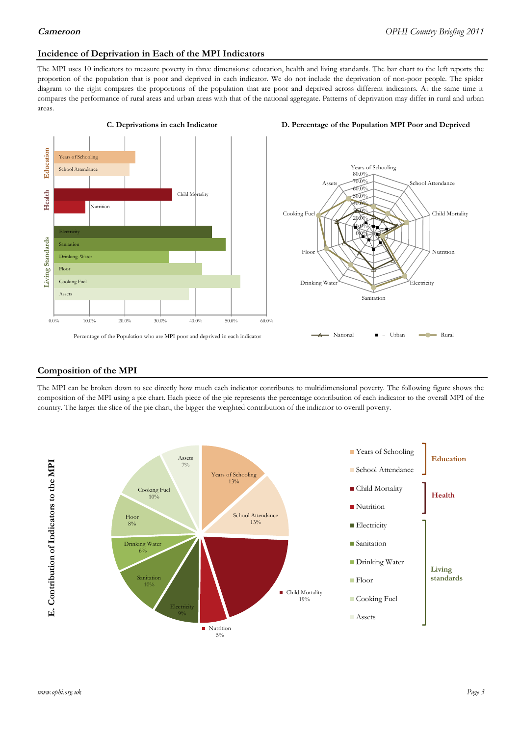#### **Incidence of Deprivation in Each of the MPI Indicators**

The MPI uses 10 indicators to measure poverty in three dimensions: education, health and living standards. The bar chart to the left reports the proportion of the population that is poor and deprived in each indicator. We do not include the deprivation of non-poor people. The spider diagram to the right compares the proportions of the population that are poor and deprived across different indicators. At the same time it compares the performance of rural areas and urban areas with that of the national aggregate. Patterns of deprivation may differ in rural and urban areas.







#### **Composition of the MPI**

The MPI can be broken down to see directly how much each indicator contributes to multidimensional poverty. The following figure shows the composition of the MPI using a pie chart. Each piece of the pie represents the percentage contribution of each indicator to the overall MPI of the country. The larger the slice of the pie chart, the bigger the weighted contribution of the indicator to overall poverty.

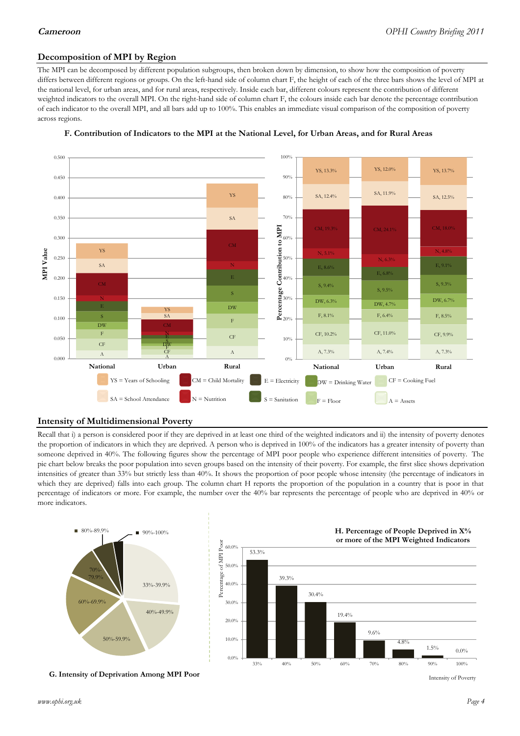#### **Decomposition of MPI by Region**

The MPI can be decomposed by different population subgroups, then broken down by dimension, to show how the composition of poverty differs between different regions or groups. On the left-hand side of column chart F, the height of each of the three bars shows the level of MPI at the national level, for urban areas, and for rural areas, respectively. Inside each bar, different colours represent the contribution of different weighted indicators to the overall MPI. On the right-hand side of column chart F, the colours inside each bar denote the percentage contribution of each indicator to the overall MPI, and all bars add up to 100%. This enables an immediate visual comparison of the composition of poverty across regions.





#### **Intensity of Multidimensional Poverty**

Recall that i) a person is considered poor if they are deprived in at least one third of the weighted indicators and ii) the intensity of poverty denotes the proportion of indicators in which they are deprived. A person who is deprived in 100% of the indicators has a greater intensity of poverty than someone deprived in 40%. The following figures show the percentage of MPI poor people who experience different intensities of poverty. The pie chart below breaks the poor population into seven groups based on the intensity of their poverty. For example, the first slice shows deprivation intensities of greater than 33% but strictly less than 40%. It shows the proportion of poor people whose intensity (the percentage of indicators in which they are deprived) falls into each group. The column chart H reports the proportion of the population in a country that is poor in that percentage of indicators or more. For example, the number over the 40% bar represents the percentage of people who are deprived in 40% or more indicators.



**G. Intensity of Deprivation Among MPI Poor**



Intensity of Poverty